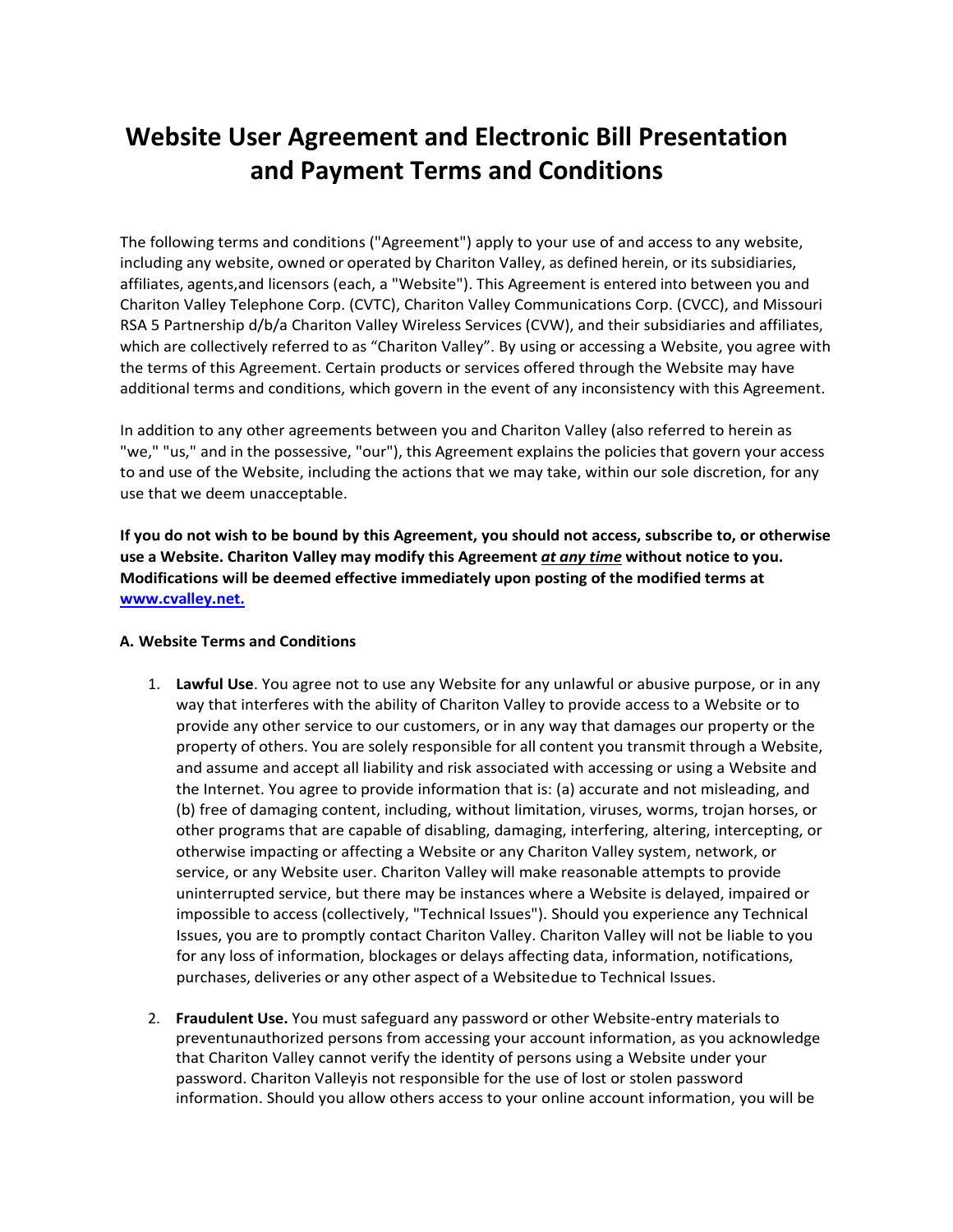## **Website User Agreement and Electronic Bill Presentation and Payment Terms and Conditions**

The following terms and conditions ("Agreement") apply to your use of and access to any website, including any website, owned or operated by Chariton Valley, as defined herein, or its subsidiaries, affiliates, agents,and licensors (each, a "Website"). This Agreement is entered into between you and Chariton Valley Telephone Corp. (CVTC), Chariton Valley Communications Corp. (CVCC), and Missouri RSA 5 Partnership d/b/a Chariton Valley Wireless Services (CVW), and their subsidiaries and affiliates, which are collectively referred to as "Chariton Valley". By using or accessing a Website, you agree with the terms of this Agreement. Certain products or services offered through the Website may have additional terms and conditions, which govern in the event of any inconsistency with this Agreement.

In addition to any other agreements between you and Chariton Valley (also referred to herein as "we," "us," and in the possessive, "our"), this Agreement explains the policies that govern your access to and use of the Website, including the actions that we may take, within our sole discretion, for any use that we deem unacceptable.

**If you do not wish to be bound by this Agreement, you should not access, subscribe to, or otherwise use a Website. Chariton Valley may modify this Agreement** *at any time* **without notice to you. Modifications will be deemed effective immediately upon posting of the modified terms at [www.cvalley.net.](http://www.cvalley.net./)**

## **A. Website Terms and Conditions**

- 1. **Lawful Use**. You agree not to use any Website for any unlawful or abusive purpose, or in any way that interferes with the ability of Chariton Valley to provide access to a Website or to provide any other service to our customers, or in any way that damages our property or the property of others. You are solely responsible for all content you transmit through a Website, and assume and accept all liability and risk associated with accessing or using a Website and the Internet. You agree to provide information that is: (a) accurate and not misleading, and (b) free of damaging content, including, without limitation, viruses, worms, trojan horses, or other programs that are capable of disabling, damaging, interfering, altering, intercepting, or otherwise impacting or affecting a Website or any Chariton Valley system, network, or service, or any Website user. Chariton Valley will make reasonable attempts to provide uninterrupted service, but there may be instances where a Website is delayed, impaired or impossible to access (collectively, "Technical Issues"). Should you experience any Technical Issues, you are to promptly contact Chariton Valley. Chariton Valley will not be liable to you for any loss of information, blockages or delays affecting data, information, notifications, purchases, deliveries or any other aspect of a Website due to Technical Issues.
- 2. **Fraudulent Use.** You must safeguard any password or other Website-entry materials to preventunauthorized persons from accessing your account information, as you acknowledge that Chariton Valley cannot verify the identity of persons using a Website under your password. Chariton Valleyis not responsible for the use of lost or stolen password information. Should you allow others access to your online account information, you will be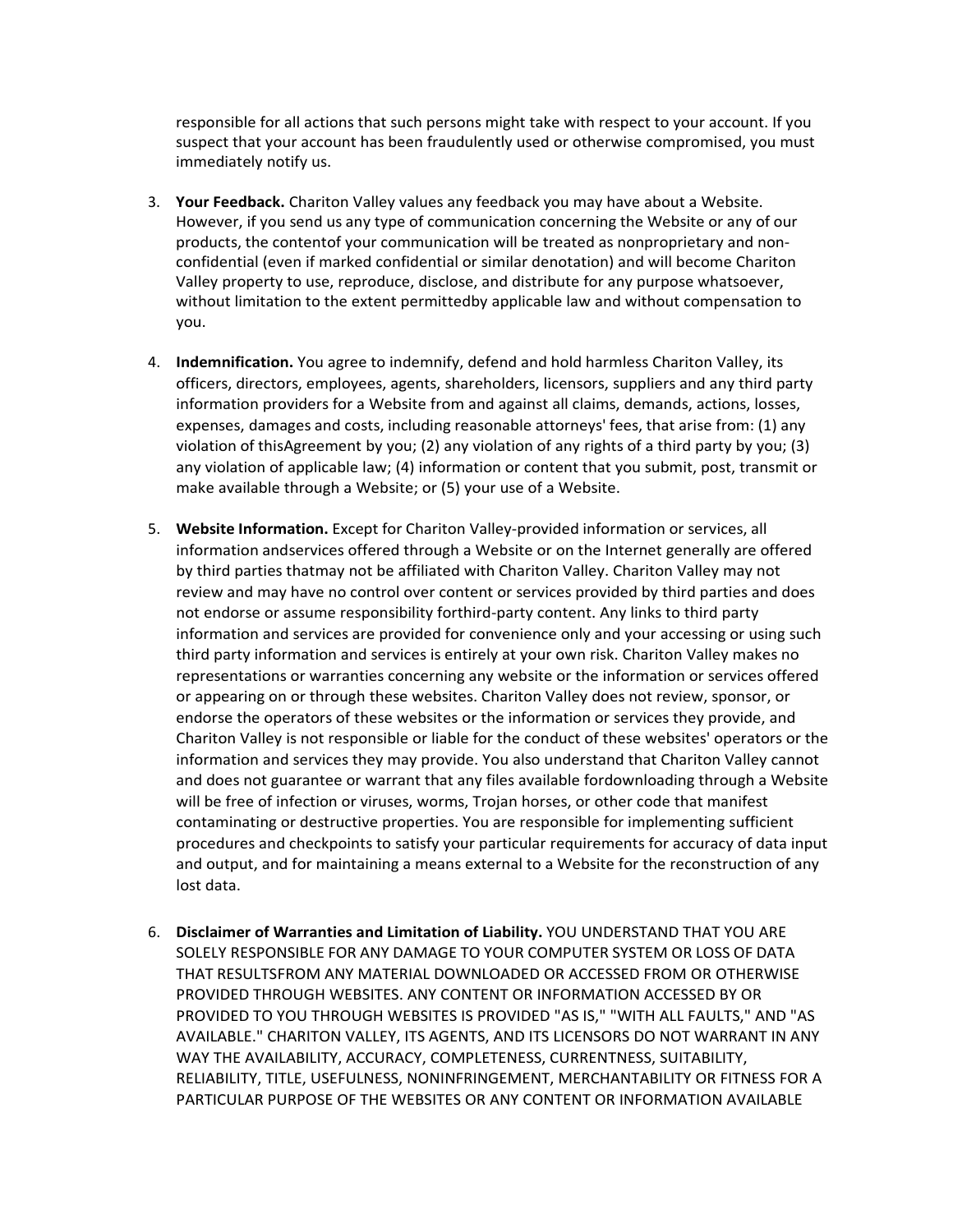responsible for all actions that such persons might take with respect to your account. If you suspect that your account has been fraudulently used or otherwise compromised, you must immediately notify us.

- 3. **Your Feedback.** Chariton Valley values any feedback you may have about a Website. However, if you send us any type of communication concerning the Website or any of our products, the contentof your communication will be treated as nonproprietary and nonconfidential (even if marked confidential or similar denotation) and will become Chariton Valley property to use, reproduce, disclose, and distribute for any purpose whatsoever, without limitation to the extent permittedby applicable law and without compensation to you.
- 4. **Indemnification.** You agree to indemnify, defend and hold harmless Chariton Valley, its officers, directors, employees, agents, shareholders, licensors, suppliers and any third party information providers for a Website from and against all claims, demands, actions, losses, expenses, damages and costs, including reasonable attorneys' fees, that arise from: (1) any violation of thisAgreement by you; (2) any violation of any rights of a third party by you; (3) any violation of applicable law; (4) information or content that you submit, post, transmit or make available through a Website; or (5) your use of a Website.
- 5. **Website Information.** Except for Chariton Valley-provided information or services, all information andservices offered through a Website or on the Internet generally are offered by third parties thatmay not be affiliated with Chariton Valley. Chariton Valley may not review and may have no control over content or services provided by third parties and does not endorse or assume responsibility forthird-party content. Any links to third party information and services are provided for convenience only and your accessing or using such third party information and services is entirely at your own risk. Chariton Valley makes no representations or warranties concerning any website or the information or services offered or appearing on or through these websites. Chariton Valley does not review, sponsor, or endorse the operators of these websites or the information or services they provide, and Chariton Valley is not responsible or liable for the conduct of these websites' operators or the information and services they may provide. You also understand that Chariton Valley cannot and does not guarantee or warrant that any files available fordownloading through a Website will be free of infection or viruses, worms, Trojan horses, or other code that manifest contaminating or destructive properties. You are responsible for implementing sufficient procedures and checkpoints to satisfy your particular requirements for accuracy of data input and output, and for maintaining a means external to a Website for the reconstruction of any lost data.
- 6. **Disclaimer of Warranties and Limitation of Liability.** YOU UNDERSTAND THAT YOU ARE SOLELY RESPONSIBLE FOR ANY DAMAGE TO YOUR COMPUTER SYSTEM OR LOSS OF DATA THAT RESULTSFROM ANY MATERIAL DOWNLOADED OR ACCESSED FROM OR OTHERWISE PROVIDED THROUGH WEBSITES. ANY CONTENT OR INFORMATION ACCESSED BY OR PROVIDED TO YOU THROUGH WEBSITES IS PROVIDED "AS IS," "WITH ALL FAULTS," AND "AS AVAILABLE." CHARITON VALLEY, ITS AGENTS, AND ITS LICENSORS DO NOT WARRANT IN ANY WAY THE AVAILABILITY, ACCURACY, COMPLETENESS, CURRENTNESS, SUITABILITY, RELIABILITY, TITLE, USEFULNESS, NONINFRINGEMENT, MERCHANTABILITY OR FITNESS FOR A PARTICULAR PURPOSE OF THE WEBSITES OR ANY CONTENT OR INFORMATION AVAILABLE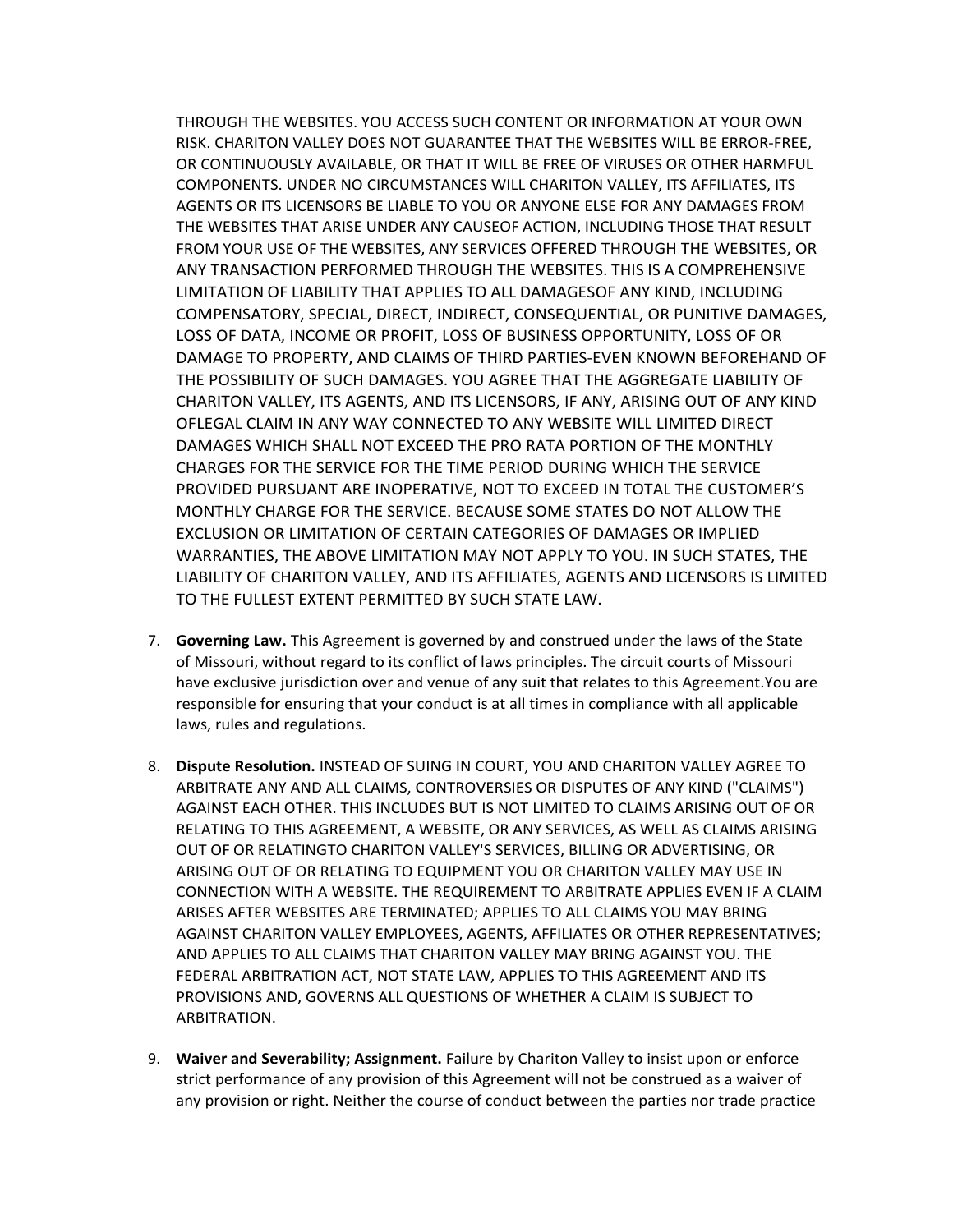THROUGH THE WEBSITES. YOU ACCESS SUCH CONTENT OR INFORMATION AT YOUR OWN RISK. CHARITON VALLEY DOES NOT GUARANTEE THAT THE WEBSITES WILL BE ERROR-FREE, OR CONTINUOUSLY AVAILABLE, OR THAT IT WILL BE FREE OF VIRUSES OR OTHER HARMFUL COMPONENTS. UNDER NO CIRCUMSTANCES WILL CHARITON VALLEY, ITS AFFILIATES, ITS AGENTS OR ITS LICENSORS BE LIABLE TO YOU OR ANYONE ELSE FOR ANY DAMAGES FROM THE WEBSITES THAT ARISE UNDER ANY CAUSEOF ACTION, INCLUDING THOSE THAT RESULT FROM YOUR USE OF THE WEBSITES, ANY SERVICES OFFERED THROUGH THE WEBSITES, OR ANY TRANSACTION PERFORMED THROUGH THE WEBSITES. THIS IS A COMPREHENSIVE LIMITATION OF LIABILITY THAT APPLIES TO ALL DAMAGESOF ANY KIND, INCLUDING COMPENSATORY, SPECIAL, DIRECT, INDIRECT, CONSEQUENTIAL, OR PUNITIVE DAMAGES, LOSS OF DATA, INCOME OR PROFIT, LOSS OF BUSINESS OPPORTUNITY, LOSS OF OR DAMAGE TO PROPERTY, AND CLAIMS OF THIRD PARTIES-EVEN KNOWN BEFOREHAND OF THE POSSIBILITY OF SUCH DAMAGES. YOU AGREE THAT THE AGGREGATE LIABILITY OF CHARITON VALLEY, ITS AGENTS, AND ITS LICENSORS, IF ANY, ARISING OUT OF ANY KIND OFLEGAL CLAIM IN ANY WAY CONNECTED TO ANY WEBSITE WILL LIMITED DIRECT DAMAGES WHICH SHALL NOT EXCEED THE PRO RATA PORTION OF THE MONTHLY CHARGES FOR THE SERVICE FOR THE TIME PERIOD DURING WHICH THE SERVICE PROVIDED PURSUANT ARE INOPERATIVE, NOT TO EXCEED IN TOTAL THE CUSTOMER'S MONTHLY CHARGE FOR THE SERVICE. BECAUSE SOME STATES DO NOT ALLOW THE EXCLUSION OR LIMITATION OF CERTAIN CATEGORIES OF DAMAGES OR IMPLIED WARRANTIES, THE ABOVE LIMITATION MAY NOT APPLY TO YOU. IN SUCH STATES, THE LIABILITY OF CHARITON VALLEY, AND ITS AFFILIATES, AGENTS AND LICENSORS IS LIMITED TO THE FULLEST EXTENT PERMITTED BY SUCH STATE LAW.

- 7. **Governing Law.** This Agreement is governed by and construed under the laws of the State of Missouri, without regard to its conflict of laws principles. The circuit courts of Missouri have exclusive jurisdiction over and venue of any suit that relates to this Agreement.You are responsible for ensuring that your conduct is at all times in compliance with all applicable laws, rules and regulations.
- 8. **Dispute Resolution.** INSTEAD OF SUING IN COURT, YOU AND CHARITON VALLEY AGREE TO ARBITRATE ANY AND ALL CLAIMS, CONTROVERSIES OR DISPUTES OF ANY KIND ("CLAIMS") AGAINST EACH OTHER. THIS INCLUDES BUT IS NOT LIMITED TO CLAIMS ARISING OUT OF OR RELATING TO THIS AGREEMENT, A WEBSITE, OR ANY SERVICES, AS WELL AS CLAIMS ARISING OUT OF OR RELATINGTO CHARITON VALLEY'S SERVICES, BILLING OR ADVERTISING, OR ARISING OUT OF OR RELATING TO EQUIPMENT YOU OR CHARITON VALLEY MAY USE IN CONNECTION WITH A WEBSITE. THE REQUIREMENT TO ARBITRATE APPLIES EVEN IF A CLAIM ARISES AFTER WEBSITES ARE TERMINATED; APPLIES TO ALL CLAIMS YOU MAY BRING AGAINST CHARITON VALLEY EMPLOYEES, AGENTS, AFFILIATES OR OTHER REPRESENTATIVES; AND APPLIES TO ALL CLAIMS THAT CHARITON VALLEY MAY BRING AGAINST YOU. THE FEDERAL ARBITRATION ACT, NOT STATE LAW, APPLIES TO THIS AGREEMENT AND ITS PROVISIONS AND, GOVERNS ALL QUESTIONS OF WHETHER A CLAIM IS SUBJECT TO ARBITRATION.
- 9. **Waiver and Severability; Assignment.** Failure by Chariton Valley to insist upon or enforce strict performance of any provision of this Agreement will not be construed as a waiver of any provision or right. Neither the course of conduct between the parties nor trade practice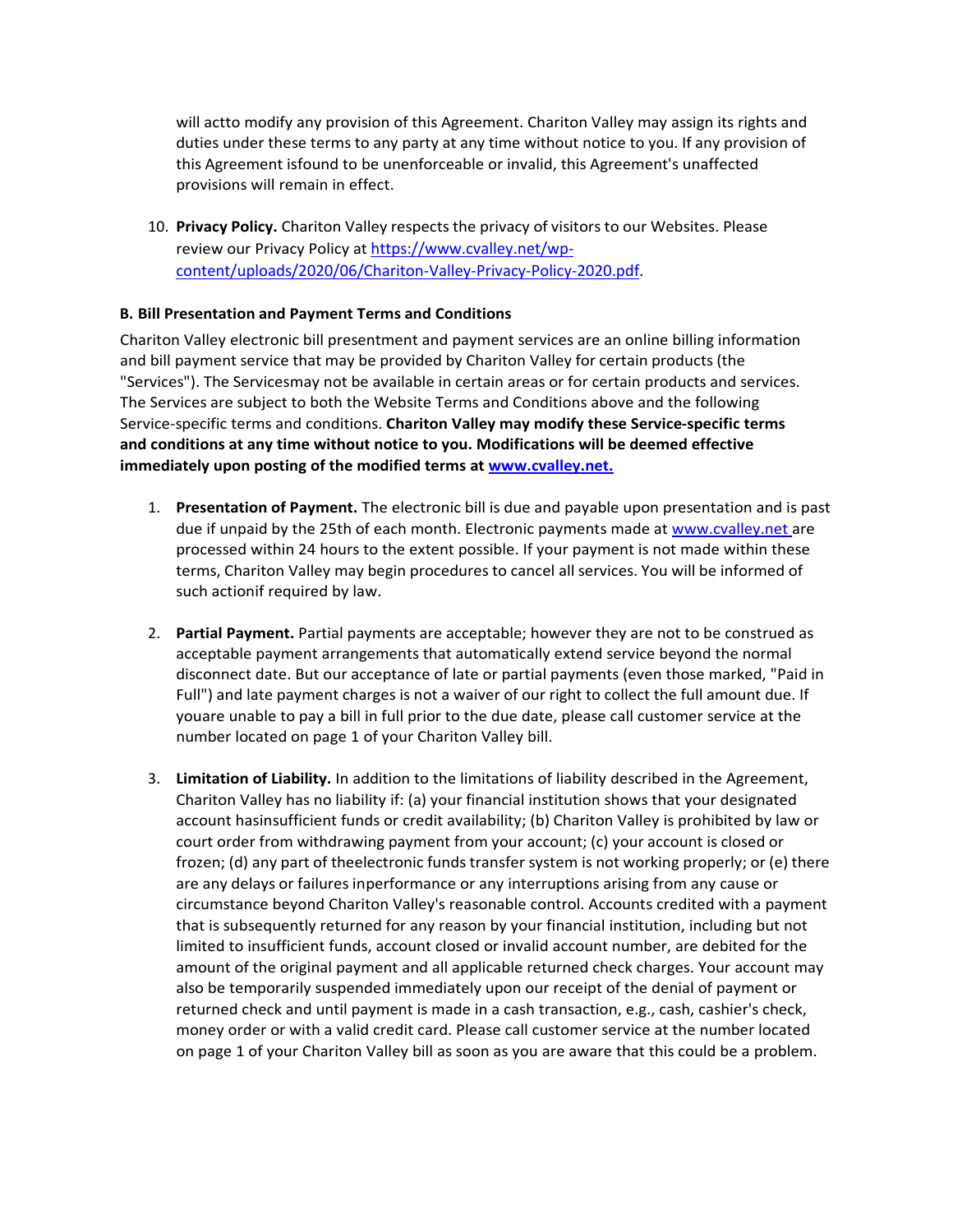will actto modify any provision of this Agreement. Chariton Valley may assign its rights and duties under these terms to any party at any time without notice to you. If any provision of this Agreement isfound to be unenforceable or invalid, this Agreement's unaffected provisions will remain in effect.

10. **Privacy Policy.** Chariton Valley respects the privacy of visitors to our Websites. Please review our Privacy Policy at [https://www.cvalley.net/wp](https://www.cvalley.net/wp-content/uploads/2020/06/Chariton-Valley-Privacy-Policy-2020.pdf)[content/uploads/2020/06/Chariton-Valley-Privacy-Policy-2020.pdf.](https://www.cvalley.net/wp-content/uploads/2020/06/Chariton-Valley-Privacy-Policy-2020.pdf)

## **B. Bill Presentation and Payment Terms and Conditions**

Chariton Valley electronic bill presentment and payment services are an online billing information and bill payment service that may be provided by Chariton Valley for certain products (the "Services"). The Servicesmay not be available in certain areas or for certain products and services. The Services are subject to both the Website Terms and Conditions above and the following Service-specific terms and conditions. **Chariton Valley may modify these Service-specific terms and conditions at any time without notice to you. Modifications will be deemed effective immediately upon posting of the modified terms at [www.cvalley.net.](http://www.cvalley.net./)**

- 1. **Presentation of Payment.** The electronic bill is due and payable upon presentation and is past due if unpaid by the 25th of each month. Electronic payments made at www.cvalley.net are processed within 24 hours to the extent possible. If your payment is not made within these terms, Chariton Valley may begin procedures to cancel all services. You will be informed of such actionif required by law.
- 2. **Partial Payment.** Partial payments are acceptable; however they are not to be construed as acceptable payment arrangements that automatically extend service beyond the normal disconnect date. But our acceptance of late or partial payments (even those marked, "Paid in Full") and late payment charges is not a waiver of our right to collect the full amount due. If youare unable to pay a bill in full prior to the due date, please call customer service at the number located on page 1 of your Chariton Valley bill.
- 3. **Limitation of Liability.** In addition to the limitations of liability described in the Agreement, Chariton Valley has no liability if: (a) your financial institution shows that your designated account hasinsufficient funds or credit availability; (b) Chariton Valley is prohibited by law or court order from withdrawing payment from your account; (c) your account is closed or frozen; (d) any part of theelectronic funds transfer system is not working properly; or (e) there are any delays or failures inperformance or any interruptions arising from any cause or circumstance beyond Chariton Valley's reasonable control. Accounts credited with a payment that is subsequently returned for any reason by your financial institution, including but not limited to insufficient funds, account closed or invalid account number, are debited for the amount of the original payment and all applicable returned check charges. Your account may also be temporarily suspended immediately upon our receipt of the denial of payment or returned check and until payment is made in a cash transaction, e.g., cash, cashier's check, money order or with a valid credit card. Please call customer service at the number located on page 1 of your Chariton Valley bill as soon as you are aware that this could be a problem.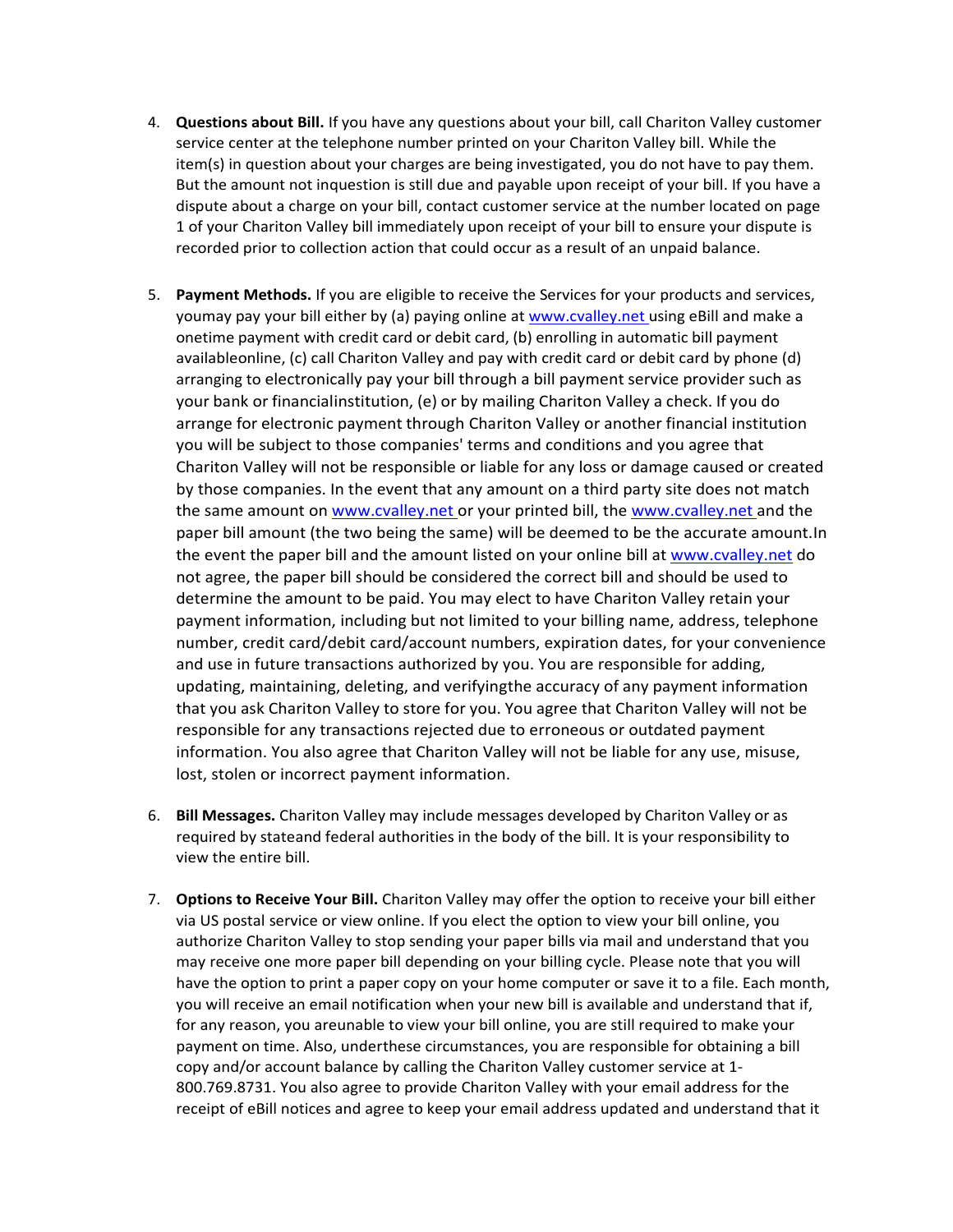- 4. **Questions about Bill.** If you have any questions about your bill, call Chariton Valley customer service center at the telephone number printed on your Chariton Valley bill. While the item(s) in question about your charges are being investigated, you do not have to pay them. But the amount not inquestion is still due and payable upon receipt of your bill. If you have a dispute about a charge on your bill, contact customer service at the number located on page 1 of your Chariton Valley bill immediately upon receipt of your bill to ensure your dispute is recorded prior to collection action that could occur as a result of an unpaid balance.
- 5. **Payment Methods.** If you are eligible to receive the Services for your products and services, youmay pay your bill either by (a) paying online at www.cvalley.net using eBill and make a onetime payment with credit card or debit card, (b) enrolling in automatic bill payment availableonline, (c) call Chariton Valley and pay with credit card or debit card by phone (d) arranging to electronically pay your bill through a bill payment service provider such as your bank or financialinstitution, (e) or by mailing Chariton Valley a check. If you do arrange for electronic payment through Chariton Valley or another financial institution you will be subject to those companies' terms and conditions and you agree that Chariton Valley will not be responsible or liable for any loss or damage caused or created by those companies. In the event that any amount on a third party site does not match the same amount on www.cvalley.net or your printed bill, the www.cvalley.net and the paper bill amount (the two being the same) will be deemed to be the accurate amount.In the event the paper bill and the amount listed on your online bill at [www.cvalley.net](http://www.cvalley.net/) do not agree, the paper bill should be considered the correct bill and should be used to determine the amount to be paid. You may elect to have Chariton Valley retain your payment information, including but not limited to your billing name, address, telephone number, credit card/debit card/account numbers, expiration dates, for your convenience and use in future transactions authorized by you. You are responsible for adding, updating, maintaining, deleting, and verifyingthe accuracy of any payment information that you ask Chariton Valley to store for you. You agree that Chariton Valley will not be responsible for any transactions rejected due to erroneous or outdated payment information. You also agree that Chariton Valley will not be liable for any use, misuse, lost, stolen or incorrect payment information.
- 6. **Bill Messages.** Chariton Valley may include messages developed by Chariton Valley or as required by stateand federal authorities in the body of the bill. It is your responsibility to view the entire bill.
- 7. **Options to Receive Your Bill.** Chariton Valley may offer the option to receive your bill either via US postal service or view online. If you elect the option to view your bill online, you authorize Chariton Valley to stop sending your paper bills via mail and understand that you may receive one more paper bill depending on your billing cycle. Please note that you will have the option to print a paper copy on your home computer or save it to a file. Each month, you will receive an email notification when your new bill is available and understand that if, for any reason, you areunable to view your bill online, you are still required to make your payment on time. Also, underthese circumstances, you are responsible for obtaining a bill copy and/or account balance by calling the Chariton Valley customer service at 1- 800.769.8731. You also agree to provide Chariton Valley with your email address for the receipt of eBill notices and agree to keep your email address updated and understand that it